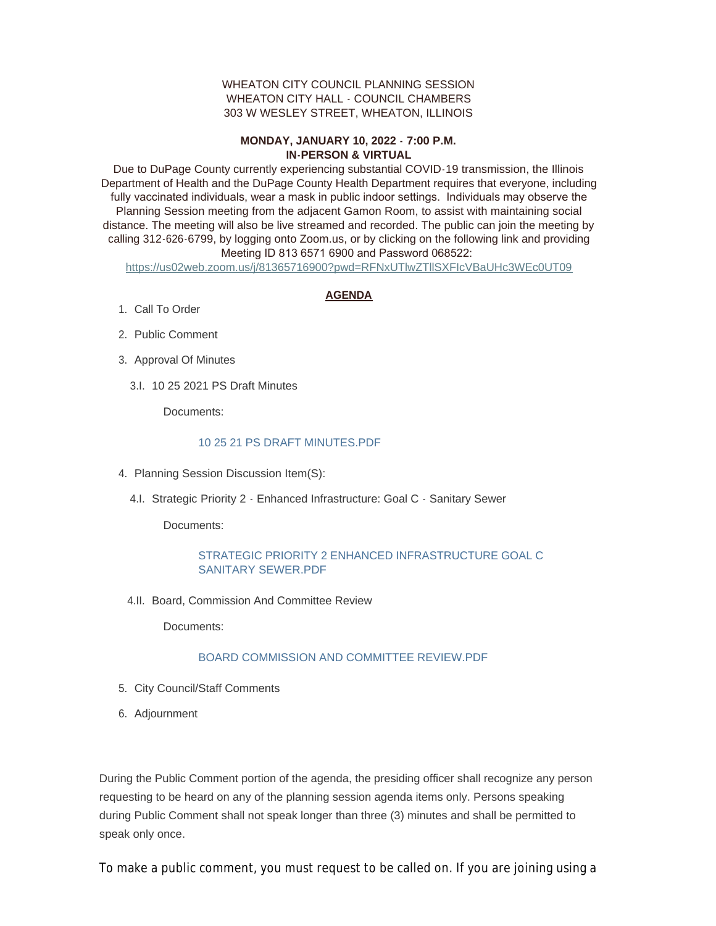#### WHEATON CITY COUNCIL PLANNING SESSION WHEATON CITY HALL - COUNCIL CHAMBERS 303 W WESLEY STREET, WHEATON, ILLINOIS

# **MONDAY, JANUARY 10, 2022 - 7:00 P.M. IN-PERSON & VIRTUAL**

Due to DuPage County currently experiencing substantial COVID-19 transmission, the Illinois Department of Health and the DuPage County Health Department requires that everyone, including fully vaccinated individuals, wear a mask in public indoor settings. Individuals may observe the Planning Session meeting from the adjacent Gamon Room, to assist with maintaining social distance. The meeting will also be live streamed and recorded. The public can join the meeting by calling 312-626-6799, by logging onto Zoom.us, or by clicking on the following link and providing Meeting ID 813 6571 6900 and Password 068522:

<https://us02web.zoom.us/j/81365716900?pwd=RFNxUTlwZTllSXFIcVBaUHc3WEc0UT09>

# **AGENDA**

- 1. Call To Order
- 2. Public Comment
- 3. Approval Of Minutes
	- 10 25 2021 PS Draft Minutes 3.I.

Documents:

# [10 25 21 PS DRAFT MINUTES.PDF](https://www.wheaton.il.us/AgendaCenter/ViewFile/Item/8285?fileID=10777)

- 4. Planning Session Discussion Item(S):
	- 4.I. Strategic Priority 2 Enhanced Infrastructure: Goal C Sanitary Sewer

Documents:

# [STRATEGIC PRIORITY 2 ENHANCED INFRASTRUCTURE GOAL C](https://www.wheaton.il.us/AgendaCenter/ViewFile/Item/8287?fileID=10778)  SANITARY SEWER.PDF

4.II. Board, Commission And Committee Review

Documents:

#### [BOARD COMMISSION AND COMMITTEE REVIEW.PDF](https://www.wheaton.il.us/AgendaCenter/ViewFile/Item/8288?fileID=10779)

- 5. City Council/Staff Comments
- Adjournment 6.

During the Public Comment portion of the agenda, the presiding officer shall recognize any person requesting to be heard on any of the planning session agenda items only. Persons speaking during Public Comment shall not speak longer than three (3) minutes and shall be permitted to speak only once.

To make a public comment, you must request to be called on. If you are joining using a